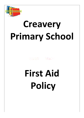

# **Creavery Primary School**

**First Aid Policy**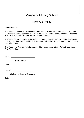# Creavery Primary School

# First Aid Policy

## **First Aid Policy**

The Governors and Head Teacher of Creavery Primary School accept their responsibility under the Health and Safety (First Aid) regulations 1981 and acknowledge the importance of providing First Aid for employees, children and visitors within the school

The Governors are committed to the authority's procedure for reporting accidents and recognise their statutory duty to comply with the Reporting of injuries, diseases and dangerous occurrences regulations 1995.

The Provision of First Aid within the school will be in accordance with the Authority's guidance on First Aid in school.

| Signed |  |
|--------|--|
|        |  |

Head Teacher

Date \_\_\_\_\_\_\_\_\_\_\_\_\_\_\_\_

Signed \_\_\_\_\_\_\_\_\_\_\_\_\_\_\_\_\_\_\_\_\_\_\_\_\_\_

Chairman of Board of Governors

Date \_\_\_\_\_\_\_\_\_\_\_\_\_\_\_\_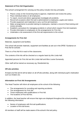# **Statement of First Aid Organisation**

The school's arrangement for carrying out the policy include nine key principles.

- Places a duty on the Governing body to approve, implement and review the policy.
- Place individual duties on all employees.
- To report, record and where appropriate investigate all accidents.
- Record all occasions when first aid is administered to employees, pupils and visitors.
- Provide equipment and materials to carry out first aid treatment.
- Make arrangements to provide training to employees, maintain a record of that training and review annually.
- Establish a procedure for managing accidents in school which require First Aid treatment.
- Provide information to employees on the arrangements for First Aid.
- Undertake a risk assessment of the first aid requirements to the school.

### **Arrangements for First Aid**

Materials, equipment and facilities.

The school will provide materials, equipment and facilities as set out in the DFEE 'Guidance on First Aid for schools'.

There is a First Aid Kit in each of the classrooms.

The contents of the kits will be checked on a regular basis by Mrs Linda Hall.

Appointed persons for First Aid are Mrs Linda Hall and Miss Louise Dunwoody.

Other staff will be trained as necessary eg. Residential trip.

# **Off-site activities**

At least one first aid kit will be taken on all off site activities, along with individual pupil's medication such as inhalers etc.

# **Information on First Aid Arrangements**

The Head Teacher will inform all employees at the school of the following:

- The arrangements for recording and reporting accidents.
- The arrangements for First Aid.
- Those employees with qualifications in First Aid.
- The locations of First Aid Kits.

In addition, the head teacher will ensure that signs are displayed throughout the school providing the following information:

- Names of employees with first aid qualifications.
- Location of first aid boxes.

All members of staff will be made aware of the school's first aid policy.